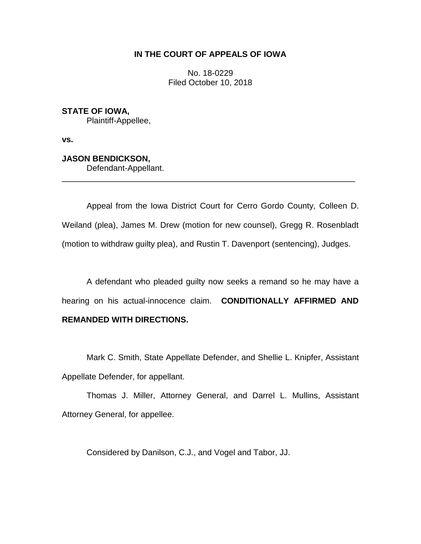# **IN THE COURT OF APPEALS OF IOWA**

No. 18-0229 Filed October 10, 2018

**STATE OF IOWA,** Plaintiff-Appellee,

**vs.**

**JASON BENDICKSON,**

Defendant-Appellant.

Appeal from the Iowa District Court for Cerro Gordo County, Colleen D. Weiland (plea), James M. Drew (motion for new counsel), Gregg R. Rosenbladt (motion to withdraw guilty plea), and Rustin T. Davenport (sentencing), Judges.

\_\_\_\_\_\_\_\_\_\_\_\_\_\_\_\_\_\_\_\_\_\_\_\_\_\_\_\_\_\_\_\_\_\_\_\_\_\_\_\_\_\_\_\_\_\_\_\_\_\_\_\_\_\_\_\_\_\_\_\_\_\_\_\_

A defendant who pleaded guilty now seeks a remand so he may have a hearing on his actual-innocence claim. **CONDITIONALLY AFFIRMED AND REMANDED WITH DIRECTIONS.**

Mark C. Smith, State Appellate Defender, and Shellie L. Knipfer, Assistant Appellate Defender, for appellant.

Thomas J. Miller, Attorney General, and Darrel L. Mullins, Assistant Attorney General, for appellee.

Considered by Danilson, C.J., and Vogel and Tabor, JJ.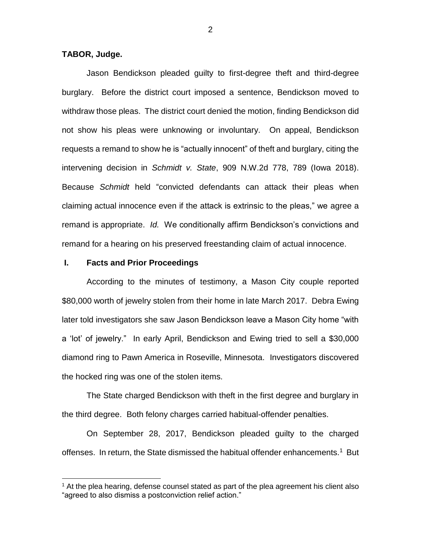## **TABOR, Judge.**

Jason Bendickson pleaded guilty to first-degree theft and third-degree burglary. Before the district court imposed a sentence, Bendickson moved to withdraw those pleas. The district court denied the motion, finding Bendickson did not show his pleas were unknowing or involuntary. On appeal, Bendickson requests a remand to show he is "actually innocent" of theft and burglary, citing the intervening decision in *Schmidt v. State*, 909 N.W.2d 778, 789 (Iowa 2018). Because *Schmidt* held "convicted defendants can attack their pleas when claiming actual innocence even if the attack is extrinsic to the pleas," we agree a remand is appropriate. *Id.* We conditionally affirm Bendickson's convictions and remand for a hearing on his preserved freestanding claim of actual innocence.

### **I. Facts and Prior Proceedings**

 $\overline{a}$ 

According to the minutes of testimony, a Mason City couple reported \$80,000 worth of jewelry stolen from their home in late March 2017. Debra Ewing later told investigators she saw Jason Bendickson leave a Mason City home "with a 'lot' of jewelry." In early April, Bendickson and Ewing tried to sell a \$30,000 diamond ring to Pawn America in Roseville, Minnesota. Investigators discovered the hocked ring was one of the stolen items.

The State charged Bendickson with theft in the first degree and burglary in the third degree. Both felony charges carried habitual-offender penalties.

On September 28, 2017, Bendickson pleaded guilty to the charged offenses. In return, the State dismissed the habitual offender enhancements.<sup>1</sup> But

 $1$  At the plea hearing, defense counsel stated as part of the plea agreement his client also "agreed to also dismiss a postconviction relief action."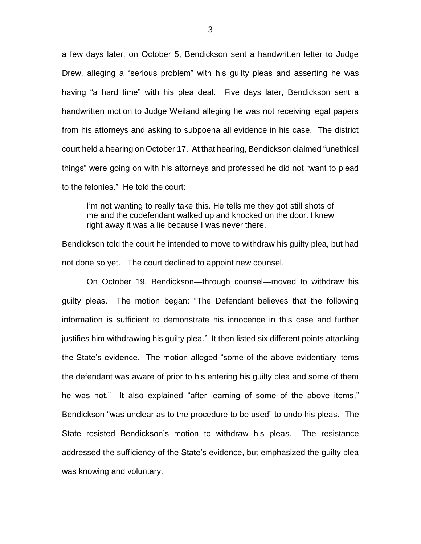a few days later, on October 5, Bendickson sent a handwritten letter to Judge Drew, alleging a "serious problem" with his guilty pleas and asserting he was having "a hard time" with his plea deal. Five days later, Bendickson sent a handwritten motion to Judge Weiland alleging he was not receiving legal papers from his attorneys and asking to subpoena all evidence in his case. The district court held a hearing on October 17. At that hearing, Bendickson claimed "unethical things" were going on with his attorneys and professed he did not "want to plead to the felonies." He told the court:

I'm not wanting to really take this. He tells me they got still shots of me and the codefendant walked up and knocked on the door. I knew right away it was a lie because I was never there.

Bendickson told the court he intended to move to withdraw his guilty plea, but had not done so yet. The court declined to appoint new counsel.

On October 19, Bendickson—through counsel—moved to withdraw his guilty pleas. The motion began: "The Defendant believes that the following information is sufficient to demonstrate his innocence in this case and further justifies him withdrawing his guilty plea." It then listed six different points attacking the State's evidence. The motion alleged "some of the above evidentiary items the defendant was aware of prior to his entering his guilty plea and some of them he was not." It also explained "after learning of some of the above items," Bendickson "was unclear as to the procedure to be used" to undo his pleas. The State resisted Bendickson's motion to withdraw his pleas. The resistance addressed the sufficiency of the State's evidence, but emphasized the guilty plea was knowing and voluntary.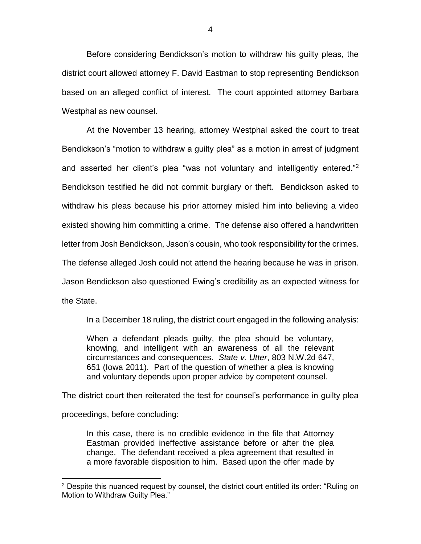Before considering Bendickson's motion to withdraw his guilty pleas, the district court allowed attorney F. David Eastman to stop representing Bendickson based on an alleged conflict of interest. The court appointed attorney Barbara Westphal as new counsel.

At the November 13 hearing, attorney Westphal asked the court to treat Bendickson's "motion to withdraw a guilty plea" as a motion in arrest of judgment and asserted her client's plea "was not voluntary and intelligently entered."<sup>2</sup> Bendickson testified he did not commit burglary or theft. Bendickson asked to withdraw his pleas because his prior attorney misled him into believing a video existed showing him committing a crime. The defense also offered a handwritten letter from Josh Bendickson, Jason's cousin, who took responsibility for the crimes. The defense alleged Josh could not attend the hearing because he was in prison. Jason Bendickson also questioned Ewing's credibility as an expected witness for the State.

In a December 18 ruling, the district court engaged in the following analysis:

When a defendant pleads guilty, the plea should be voluntary, knowing, and intelligent with an awareness of all the relevant circumstances and consequences. *State v. Utter*, 803 N.W.2d 647, 651 (Iowa 2011). Part of the question of whether a plea is knowing and voluntary depends upon proper advice by competent counsel.

The district court then reiterated the test for counsel's performance in guilty plea proceedings, before concluding:

In this case, there is no credible evidence in the file that Attorney Eastman provided ineffective assistance before or after the plea change. The defendant received a plea agreement that resulted in a more favorable disposition to him. Based upon the offer made by

 $2$  Despite this nuanced request by counsel, the district court entitled its order: "Ruling on Motion to Withdraw Guilty Plea."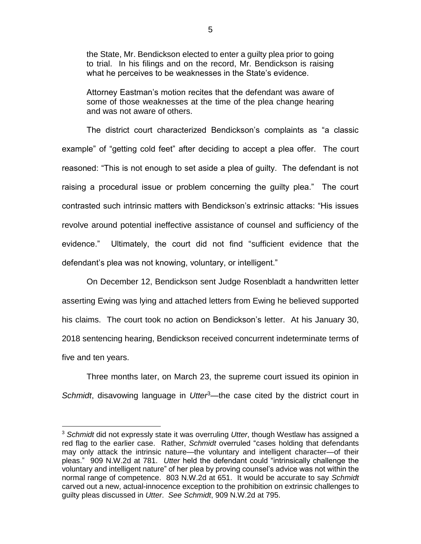the State, Mr. Bendickson elected to enter a guilty plea prior to going to trial. In his filings and on the record, Mr. Bendickson is raising what he perceives to be weaknesses in the State's evidence.

Attorney Eastman's motion recites that the defendant was aware of some of those weaknesses at the time of the plea change hearing and was not aware of others.

The district court characterized Bendickson's complaints as "a classic example" of "getting cold feet" after deciding to accept a plea offer. The court reasoned: "This is not enough to set aside a plea of guilty. The defendant is not raising a procedural issue or problem concerning the guilty plea." The court contrasted such intrinsic matters with Bendickson's extrinsic attacks: "His issues revolve around potential ineffective assistance of counsel and sufficiency of the evidence." Ultimately, the court did not find "sufficient evidence that the defendant's plea was not knowing, voluntary, or intelligent."

On December 12, Bendickson sent Judge Rosenbladt a handwritten letter asserting Ewing was lying and attached letters from Ewing he believed supported his claims. The court took no action on Bendickson's letter. At his January 30, 2018 sentencing hearing, Bendickson received concurrent indeterminate terms of five and ten years.

Three months later, on March 23, the supreme court issued its opinion in *Schmidt*, disavowing language in *Utter*<sup>3</sup>—the case cited by the district court in

<sup>3</sup> *Schmidt* did not expressly state it was overruling *Utter*, though Westlaw has assigned a red flag to the earlier case. Rather, *Schmidt* overruled "cases holding that defendants may only attack the intrinsic nature—the voluntary and intelligent character—of their pleas." 909 N.W.2d at 781. *Utter* held the defendant could "intrinsically challenge the voluntary and intelligent nature" of her plea by proving counsel's advice was not within the normal range of competence. 803 N.W.2d at 651. It would be accurate to say *Schmidt* carved out a new, actual-innocence exception to the prohibition on extrinsic challenges to guilty pleas discussed in *Utter*. *See Schmidt*, 909 N.W.2d at 795.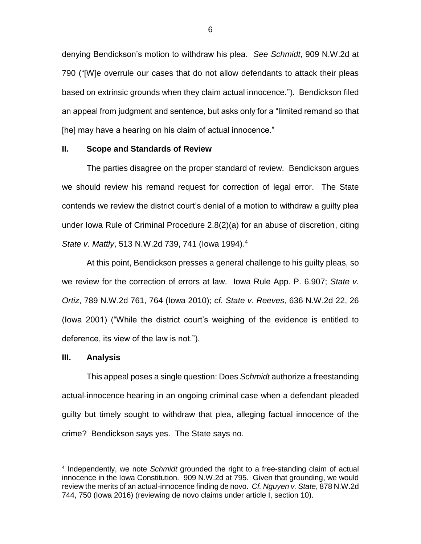denying Bendickson's motion to withdraw his plea. *See Schmidt*, 909 N.W.2d at 790 ("[W]e overrule our cases that do not allow defendants to attack their pleas based on extrinsic grounds when they claim actual innocence."). Bendickson filed an appeal from judgment and sentence, but asks only for a "limited remand so that [he] may have a hearing on his claim of actual innocence."

#### **II. Scope and Standards of Review**

The parties disagree on the proper standard of review. Bendickson argues we should review his remand request for correction of legal error. The State contends we review the district court's denial of a motion to withdraw a guilty plea under Iowa Rule of Criminal Procedure 2.8(2)(a) for an abuse of discretion, citing *State v. Mattly*, 513 N.W.2d 739, 741 (Iowa 1994). 4

At this point, Bendickson presses a general challenge to his guilty pleas, so we review for the correction of errors at law. Iowa Rule App. P. 6.907; *State v. Ortiz*, 789 N.W.2d 761, 764 (Iowa 2010); *cf. State v. Reeves*, 636 N.W.2d 22, 26 (Iowa 2001) ("While the district court's weighing of the evidence is entitled to deference, its view of the law is not.").

#### **III. Analysis**

 $\overline{a}$ 

This appeal poses a single question: Does *Schmidt* authorize a freestanding actual-innocence hearing in an ongoing criminal case when a defendant pleaded guilty but timely sought to withdraw that plea, alleging factual innocence of the crime? Bendickson says yes. The State says no.

<sup>4</sup> Independently, we note *Schmidt* grounded the right to a free-standing claim of actual innocence in the Iowa Constitution. 909 N.W.2d at 795. Given that grounding, we would review the merits of an actual-innocence finding de novo. *Cf. Nguyen v. State*, 878 N.W.2d 744, 750 (Iowa 2016) (reviewing de novo claims under article I, section 10).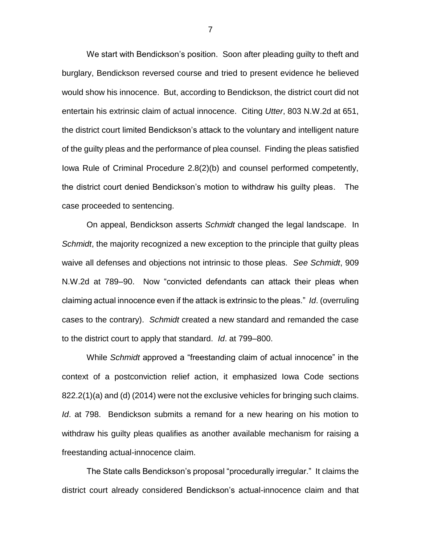We start with Bendickson's position. Soon after pleading guilty to theft and burglary, Bendickson reversed course and tried to present evidence he believed would show his innocence. But, according to Bendickson, the district court did not entertain his extrinsic claim of actual innocence. Citing *Utter*, 803 N.W.2d at 651, the district court limited Bendickson's attack to the voluntary and intelligent nature of the guilty pleas and the performance of plea counsel. Finding the pleas satisfied Iowa Rule of Criminal Procedure 2.8(2)(b) and counsel performed competently, the district court denied Bendickson's motion to withdraw his guilty pleas. The case proceeded to sentencing.

On appeal, Bendickson asserts *Schmidt* changed the legal landscape. In *Schmidt*, the majority recognized a new exception to the principle that guilty pleas waive all defenses and objections not intrinsic to those pleas. *See Schmidt*, 909 N.W.2d at 789–90. Now "convicted defendants can attack their pleas when claiming actual innocence even if the attack is extrinsic to the pleas." *Id*. (overruling cases to the contrary). *Schmidt* created a new standard and remanded the case to the district court to apply that standard. *Id*. at 799–800.

While *Schmidt* approved a "freestanding claim of actual innocence" in the context of a postconviction relief action, it emphasized Iowa Code sections 822.2(1)(a) and (d) (2014) were not the exclusive vehicles for bringing such claims. *Id*. at 798. Bendickson submits a remand for a new hearing on his motion to withdraw his guilty pleas qualifies as another available mechanism for raising a freestanding actual-innocence claim.

The State calls Bendickson's proposal "procedurally irregular." It claims the district court already considered Bendickson's actual-innocence claim and that

7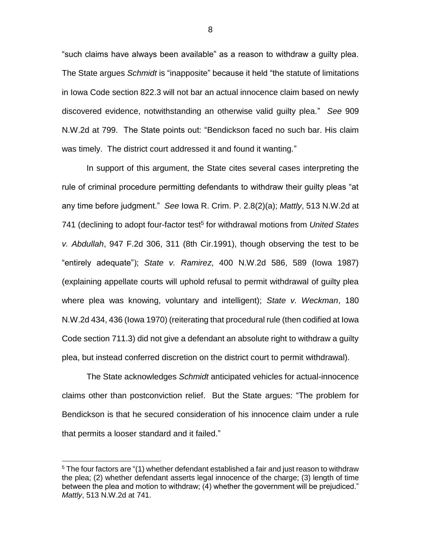"such claims have always been available" as a reason to withdraw a guilty plea. The State argues *Schmidt* is "inapposite" because it held "the statute of limitations in Iowa Code section 822.3 will not bar an actual innocence claim based on newly discovered evidence, notwithstanding an otherwise valid guilty plea." *See* 909 N.W.2d at 799. The State points out: "Bendickson faced no such bar. His claim was timely. The district court addressed it and found it wanting."

In support of this argument, the State cites several cases interpreting the rule of criminal procedure permitting defendants to withdraw their guilty pleas "at any time before judgment." *See* Iowa R. Crim. P. 2.8(2)(a); *Mattly*, 513 N.W.2d at 741 (declining to adopt four-factor test<sup>5</sup> for withdrawal motions from *United States v. Abdullah*, 947 F.2d 306, 311 (8th Cir.1991), though observing the test to be "entirely adequate"); *State v. Ramirez*, 400 N.W.2d 586, 589 (Iowa 1987) (explaining appellate courts will uphold refusal to permit withdrawal of guilty plea where plea was knowing, voluntary and intelligent); *State v. Weckman*, 180 N.W.2d 434, 436 (Iowa 1970) (reiterating that procedural rule (then codified at Iowa Code section 711.3) did not give a defendant an absolute right to withdraw a guilty plea, but instead conferred discretion on the district court to permit withdrawal).

The State acknowledges *Schmidt* anticipated vehicles for actual-innocence claims other than postconviction relief. But the State argues: "The problem for Bendickson is that he secured consideration of his innocence claim under a rule that permits a looser standard and it failed."

 $5$  The four factors are  $\degree$ (1) whether defendant established a fair and just reason to withdraw the plea; (2) whether defendant asserts legal innocence of the charge; (3) length of time between the plea and motion to withdraw; (4) whether the government will be prejudiced." *Mattly*, 513 N.W.2d at 741.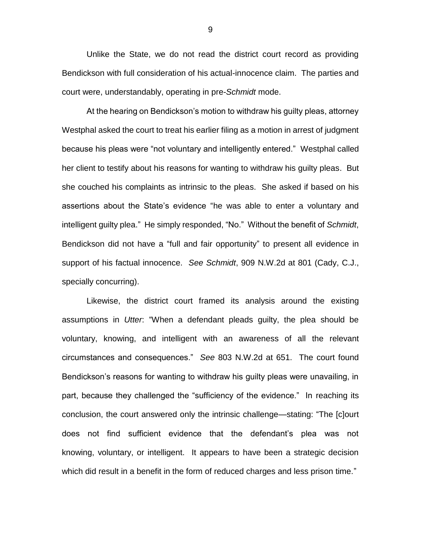Unlike the State, we do not read the district court record as providing Bendickson with full consideration of his actual-innocence claim. The parties and court were, understandably, operating in pre-*Schmidt* mode.

At the hearing on Bendickson's motion to withdraw his guilty pleas, attorney Westphal asked the court to treat his earlier filing as a motion in arrest of judgment because his pleas were "not voluntary and intelligently entered." Westphal called her client to testify about his reasons for wanting to withdraw his guilty pleas. But she couched his complaints as intrinsic to the pleas. She asked if based on his assertions about the State's evidence "he was able to enter a voluntary and intelligent guilty plea." He simply responded, "No." Without the benefit of *Schmidt*, Bendickson did not have a "full and fair opportunity" to present all evidence in support of his factual innocence. *See Schmidt*, 909 N.W.2d at 801 (Cady, C.J., specially concurring).

Likewise, the district court framed its analysis around the existing assumptions in *Utter*: "When a defendant pleads guilty, the plea should be voluntary, knowing, and intelligent with an awareness of all the relevant circumstances and consequences." *See* 803 N.W.2d at 651. The court found Bendickson's reasons for wanting to withdraw his guilty pleas were unavailing, in part, because they challenged the "sufficiency of the evidence." In reaching its conclusion, the court answered only the intrinsic challenge—stating: "The [c]ourt does not find sufficient evidence that the defendant's plea was not knowing, voluntary, or intelligent. It appears to have been a strategic decision which did result in a benefit in the form of reduced charges and less prison time."

9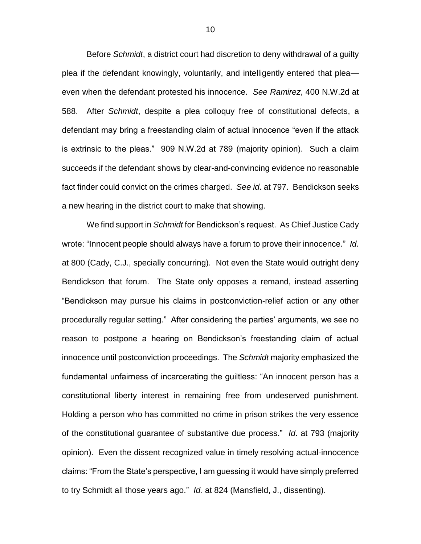Before *Schmidt*, a district court had discretion to deny withdrawal of a guilty plea if the defendant knowingly, voluntarily, and intelligently entered that plea even when the defendant protested his innocence. *See Ramirez*, 400 N.W.2d at 588. After *Schmidt*, despite a plea colloquy free of constitutional defects, a defendant may bring a freestanding claim of actual innocence "even if the attack is extrinsic to the pleas." 909 N.W.2d at 789 (majority opinion). Such a claim succeeds if the defendant shows by clear-and-convincing evidence no reasonable fact finder could convict on the crimes charged. *See id*. at 797. Bendickson seeks a new hearing in the district court to make that showing.

We find support in *Schmidt* for Bendickson's request. As Chief Justice Cady wrote: "Innocent people should always have a forum to prove their innocence." *Id.*  at 800 (Cady, C.J., specially concurring). Not even the State would outright deny Bendickson that forum. The State only opposes a remand, instead asserting "Bendickson may pursue his claims in postconviction-relief action or any other procedurally regular setting." After considering the parties' arguments, we see no reason to postpone a hearing on Bendickson's freestanding claim of actual innocence until postconviction proceedings. The *Schmidt* majority emphasized the fundamental unfairness of incarcerating the guiltless: "An innocent person has a constitutional liberty interest in remaining free from undeserved punishment. Holding a person who has committed no crime in prison strikes the very essence of the constitutional guarantee of substantive due process." *Id*. at 793 (majority opinion). Even the dissent recognized value in timely resolving actual-innocence claims: "From the State's perspective, I am guessing it would have simply preferred to try Schmidt all those years ago." *Id.* at 824 (Mansfield, J., dissenting).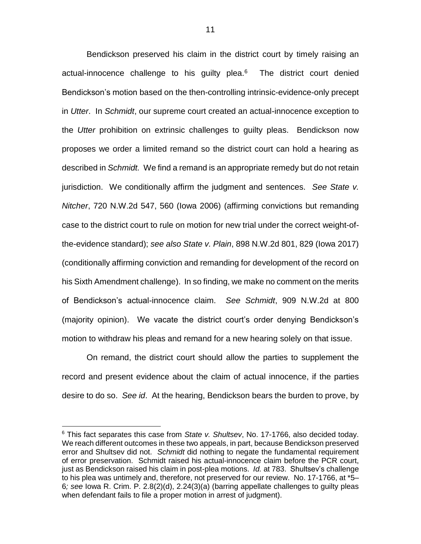Bendickson preserved his claim in the district court by timely raising an actual-innocence challenge to his guilty plea.<sup>6</sup> The district court denied Bendickson's motion based on the then-controlling intrinsic-evidence-only precept in *Utter*. In *Schmidt*, our supreme court created an actual-innocence exception to the *Utter* prohibition on extrinsic challenges to guilty pleas. Bendickson now proposes we order a limited remand so the district court can hold a hearing as described in *Schmidt.* We find a remand is an appropriate remedy but do not retain jurisdiction. We conditionally affirm the judgment and sentences. *See State v. Nitcher*, 720 N.W.2d 547, 560 (Iowa 2006) (affirming convictions but remanding case to the district court to rule on motion for new trial under the correct weight-ofthe-evidence standard); *see also State v. Plain*, 898 N.W.2d 801, 829 (Iowa 2017) (conditionally affirming conviction and remanding for development of the record on his Sixth Amendment challenge). In so finding, we make no comment on the merits of Bendickson's actual-innocence claim. *See Schmidt*, 909 N.W.2d at 800 (majority opinion). We vacate the district court's order denying Bendickson's motion to withdraw his pleas and remand for a new hearing solely on that issue.

On remand, the district court should allow the parties to supplement the record and present evidence about the claim of actual innocence, if the parties desire to do so. *See id*. At the hearing, Bendickson bears the burden to prove, by

<sup>6</sup> This fact separates this case from *State v. Shultsev*, No. 17-1766, also decided today. We reach different outcomes in these two appeals, in part, because Bendickson preserved error and Shultsev did not. *Schmidt* did nothing to negate the fundamental requirement of error preservation. Schmidt raised his actual-innocence claim before the PCR court, just as Bendickson raised his claim in post-plea motions. *Id.* at 783. Shultsev's challenge to his plea was untimely and, therefore, not preserved for our review. No. 17-1766, at \*5– 6*; see* Iowa R. Crim. P. 2.8(2)(d), 2.24(3)(a) (barring appellate challenges to guilty pleas when defendant fails to file a proper motion in arrest of judgment).